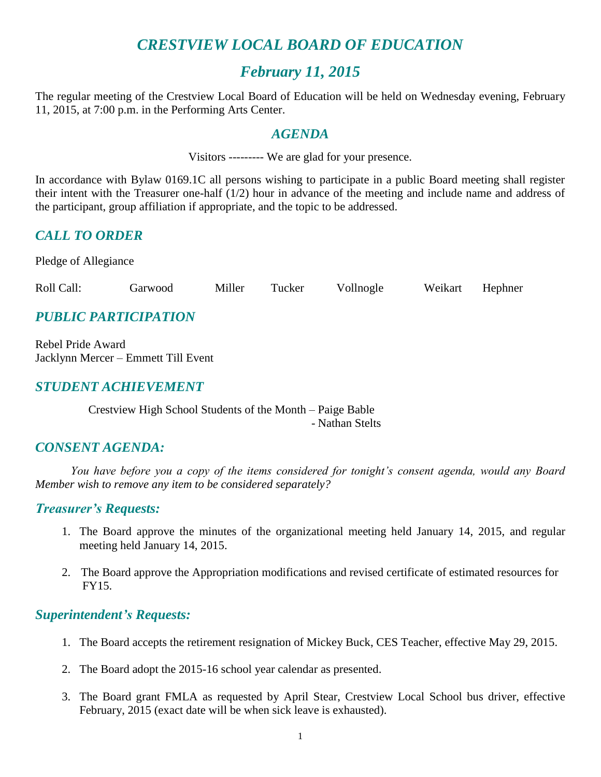# *CRESTVIEW LOCAL BOARD OF EDUCATION*

# *February 11, 2015*

The regular meeting of the Crestview Local Board of Education will be held on Wednesday evening, February 11, 2015, at 7:00 p.m. in the Performing Arts Center.

### *AGENDA*

Visitors --------- We are glad for your presence.

In accordance with Bylaw 0169.1C all persons wishing to participate in a public Board meeting shall register their intent with the Treasurer one-half (1/2) hour in advance of the meeting and include name and address of the participant, group affiliation if appropriate, and the topic to be addressed.

# *CALL TO ORDER*

Pledge of Allegiance

Roll Call: Garwood Miller Tucker Vollnogle Weikart Hephner

# *PUBLIC PARTICIPATION*

Rebel Pride Award Jacklynn Mercer – Emmett Till Event

# *STUDENT ACHIEVEMENT*

Crestview High School Students of the Month – Paige Bable - Nathan Stelts

# *CONSENT AGENDA:*

*You have before you a copy of the items considered for tonight's consent agenda, would any Board Member wish to remove any item to be considered separately?*

#### *Treasurer's Requests:*

- 1. The Board approve the minutes of the organizational meeting held January 14, 2015, and regular meeting held January 14, 2015.
- 2. The Board approve the Appropriation modifications and revised certificate of estimated resources for FY15.

#### *Superintendent's Requests:*

- 1. The Board accepts the retirement resignation of Mickey Buck, CES Teacher, effective May 29, 2015.
- 2. The Board adopt the 2015-16 school year calendar as presented.
- 3. The Board grant FMLA as requested by April Stear, Crestview Local School bus driver, effective February, 2015 (exact date will be when sick leave is exhausted).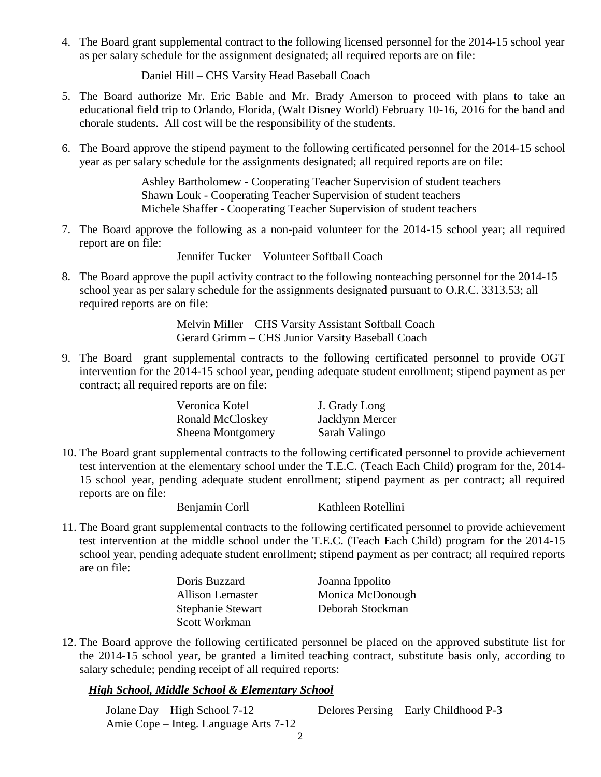4. The Board grant supplemental contract to the following licensed personnel for the 2014-15 school year as per salary schedule for the assignment designated; all required reports are on file:

Daniel Hill – CHS Varsity Head Baseball Coach

- 5. The Board authorize Mr. Eric Bable and Mr. Brady Amerson to proceed with plans to take an educational field trip to Orlando, Florida, (Walt Disney World) February 10-16, 2016 for the band and chorale students. All cost will be the responsibility of the students.
- 6. The Board approve the stipend payment to the following certificated personnel for the 2014-15 school year as per salary schedule for the assignments designated; all required reports are on file:

Ashley Bartholomew - Cooperating Teacher Supervision of student teachers Shawn Louk - Cooperating Teacher Supervision of student teachers Michele Shaffer - Cooperating Teacher Supervision of student teachers

7. The Board approve the following as a non-paid volunteer for the 2014-15 school year; all required report are on file:

Jennifer Tucker – Volunteer Softball Coach

8. The Board approve the pupil activity contract to the following nonteaching personnel for the 2014-15 school year as per salary schedule for the assignments designated pursuant to O.R.C. 3313.53; all required reports are on file:

> Melvin Miller – CHS Varsity Assistant Softball Coach Gerard Grimm – CHS Junior Varsity Baseball Coach

9. The Board grant supplemental contracts to the following certificated personnel to provide OGT intervention for the 2014-15 school year, pending adequate student enrollment; stipend payment as per contract; all required reports are on file:

| Veronica Kotel           | J. Grady Long   |
|--------------------------|-----------------|
| Ronald McCloskey         | Jacklynn Mercer |
| <b>Sheena Montgomery</b> | Sarah Valingo   |

10. The Board grant supplemental contracts to the following certificated personnel to provide achievement test intervention at the elementary school under the T.E.C. (Teach Each Child) program for the, 2014- 15 school year, pending adequate student enrollment; stipend payment as per contract; all required reports are on file:

Benjamin Corll Kathleen Rotellini

11. The Board grant supplemental contracts to the following certificated personnel to provide achievement test intervention at the middle school under the T.E.C. (Teach Each Child) program for the 2014-15 school year, pending adequate student enrollment; stipend payment as per contract; all required reports are on file:

| Doris Buzzard     | Joanna Ippolito  |
|-------------------|------------------|
| Allison Lemaster  | Monica McDonough |
| Stephanie Stewart | Deborah Stockman |
| Scott Workman     |                  |

12. The Board approve the following certificated personnel be placed on the approved substitute list for the 2014-15 school year, be granted a limited teaching contract, substitute basis only, according to salary schedule; pending receipt of all required reports:

#### *High School, Middle School & Elementary School*

| Jolane Day – High School 7-12         | Delores Persing – Early Childhood P-3 |
|---------------------------------------|---------------------------------------|
| Amie Cope – Integ. Language Arts 7-12 |                                       |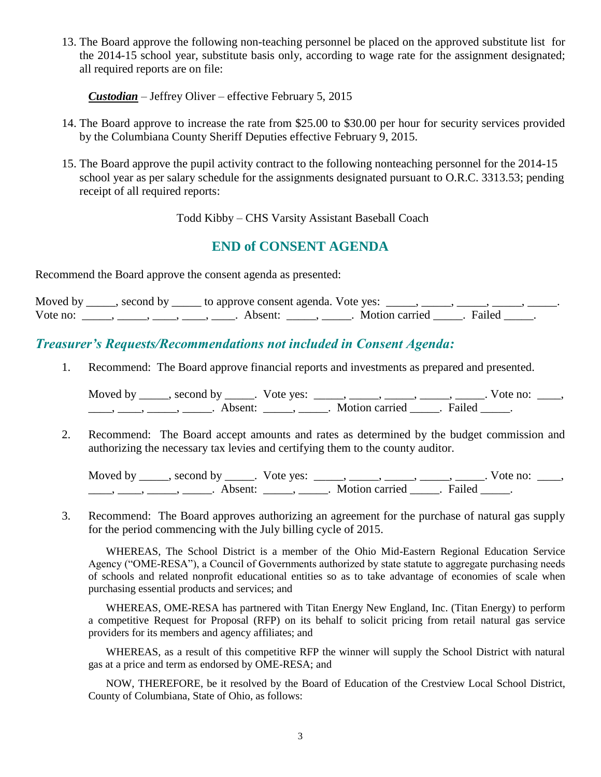13. The Board approve the following non-teaching personnel be placed on the approved substitute list for the 2014-15 school year, substitute basis only, according to wage rate for the assignment designated; all required reports are on file:

*Custodian* – Jeffrey Oliver – effective February 5, 2015

- 14. The Board approve to increase the rate from \$25.00 to \$30.00 per hour for security services provided by the Columbiana County Sheriff Deputies effective February 9, 2015.
- 15. The Board approve the pupil activity contract to the following nonteaching personnel for the 2014-15 school year as per salary schedule for the assignments designated pursuant to O.R.C. 3313.53; pending receipt of all required reports:

Todd Kibby – CHS Varsity Assistant Baseball Coach

## **END of CONSENT AGENDA**

Recommend the Board approve the consent agenda as presented:

|          | Moved by ______, second by ______ to approve consent agenda. Vote yes: |                           |  |
|----------|------------------------------------------------------------------------|---------------------------|--|
| Vote no: | Absent: .                                                              | . Motion carried . Failed |  |

#### *Treasurer's Requests/Recommendations not included in Consent Agenda:*

1. Recommend: The Board approve financial reports and investments as prepared and presented.

Moved by \_\_\_\_\_, second by \_\_\_\_\_. Vote yes:  $\frac{1}{\sqrt{2}}$ , \_\_\_\_, \_\_\_\_, \_\_\_\_, \_\_\_\_. Vote no: \_\_\_, \_\_\_\_, \_\_\_\_\_, \_\_\_\_\_\_, Absent: \_\_\_\_\_, \_\_\_\_\_. Motion carried \_\_\_\_\_. Failed \_\_\_\_\_.

2. Recommend: The Board accept amounts and rates as determined by the budget commission and authorizing the necessary tax levies and certifying them to the county auditor.

Moved by \_\_\_\_\_, second by \_\_\_\_\_. Vote yes:  $\frac{1}{\sqrt{2}}$ , \_\_\_\_, \_\_\_\_, \_\_\_\_, \_\_\_\_. Vote no: \_\_\_, \_\_\_\_\_, \_\_\_\_\_\_, \_\_\_\_\_\_\_. Absent: \_\_\_\_\_\_, \_\_\_\_\_\_. Motion carried \_\_\_\_\_\_. Failed \_\_\_\_\_.

3. Recommend: The Board approves authorizing an agreement for the purchase of natural gas supply for the period commencing with the July billing cycle of 2015.

WHEREAS, The School District is a member of the Ohio Mid-Eastern Regional Education Service Agency ("OME-RESA"), a Council of Governments authorized by state statute to aggregate purchasing needs of schools and related nonprofit educational entities so as to take advantage of economies of scale when purchasing essential products and services; and

WHEREAS, OME-RESA has partnered with Titan Energy New England, Inc. (Titan Energy) to perform a competitive Request for Proposal (RFP) on its behalf to solicit pricing from retail natural gas service providers for its members and agency affiliates; and

WHEREAS, as a result of this competitive RFP the winner will supply the School District with natural gas at a price and term as endorsed by OME-RESA; and

NOW, THEREFORE, be it resolved by the Board of Education of the Crestview Local School District, County of Columbiana, State of Ohio, as follows: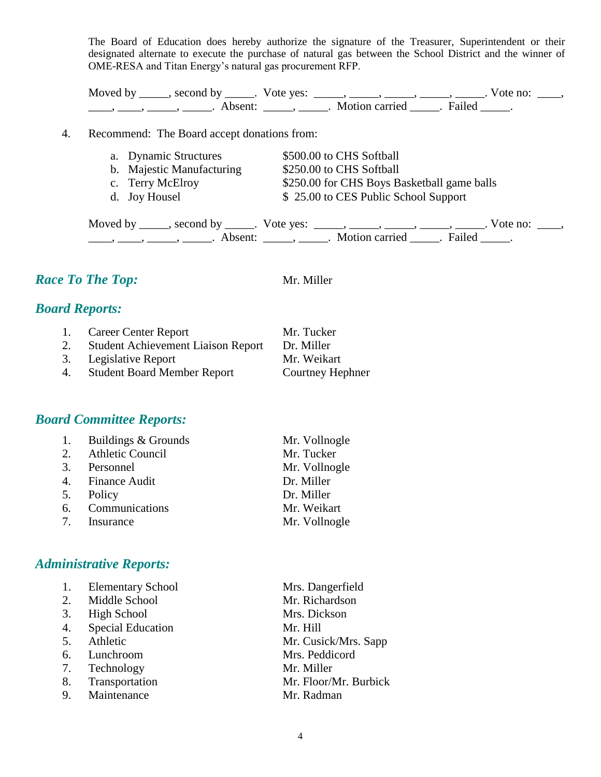The Board of Education does hereby authorize the signature of the Treasurer, Superintendent or their designated alternate to execute the purchase of natural gas between the School District and the winner of OME-RESA and Titan Energy's natural gas procurement RFP.

Moved by \_\_\_\_\_, second by \_\_\_\_\_. Vote yes:  $\_\_\_\_\_\_\_\_\_\_\_\_\_\_\_$  \_\_\_\_\_, \_\_\_\_\_, \_\_\_\_\_. Vote no:  $\_\_\_\_\_\_\$ \_\_\_\_, \_\_\_\_\_, \_\_\_\_\_\_, Absent: \_\_\_\_\_, \_\_\_\_\_. Motion carried \_\_\_\_\_. Failed \_\_\_\_\_.

#### 4. Recommend: The Board accept donations from:

| a. Dynamic Structures     | \$500.00 to CHS Softball                    |
|---------------------------|---------------------------------------------|
| b. Majestic Manufacturing | \$250.00 to CHS Softball                    |
| c. Terry McElroy          | \$250.00 for CHS Boys Basketball game balls |
| d. Joy Housel             | \$25.00 to CES Public School Support        |

Moved by \_\_\_\_\_, second by \_\_\_\_\_. Vote yes: \_\_\_\_\_, \_\_\_\_\_, \_\_\_\_\_, \_\_\_\_\_, \_\_\_\_\_. Vote no: \_\_\_\_, \_\_\_\_\_, \_\_\_\_\_, \_\_\_\_\_\_\_. Absent: \_\_\_\_\_\_, \_\_\_\_\_. Motion carried \_\_\_\_\_. Failed \_\_\_\_\_.

# *Race To The Top:* Mr. Miller

# *Board Reports:*

| 1. | Career Center Report                      | Mr. Tucker       |
|----|-------------------------------------------|------------------|
| 2. | <b>Student Achievement Liaison Report</b> | Dr. Miller       |
|    | 3. Legislative Report                     | Mr. Weikart      |
| 4. | <b>Student Board Member Report</b>        | Courtney Hephner |
|    |                                           |                  |

#### *Board Committee Reports:*

| 1. Buildings & Grounds | Mr. Vollnogle |
|------------------------|---------------|
| 2. Athletic Council    | Mr. Tucker    |
| 3. Personnel           | Mr. Vollnogle |
| 4. Finance Audit       | Dr. Miller    |
| 5. Policy              | Dr. Miller    |
| 6. Communications      | Mr. Weikart   |
| 7. Insurance           | Mr. Vollnogle |

#### *Administrative Reports:*

| 1. | <b>Elementary School</b> | Mrs. Dangerfield      |
|----|--------------------------|-----------------------|
| 2. | Middle School            | Mr. Richardson        |
| 3. | <b>High School</b>       | Mrs. Dickson          |
| 4. | <b>Special Education</b> | Mr. Hill              |
| 5. | Athletic                 | Mr. Cusick/Mrs. Sapp  |
| 6. | Lunchroom                | Mrs. Peddicord        |
| 7. | Technology               | Mr. Miller            |
| 8. | Transportation           | Mr. Floor/Mr. Burbick |
|    | 9. Maintenance           | Mr. Radman            |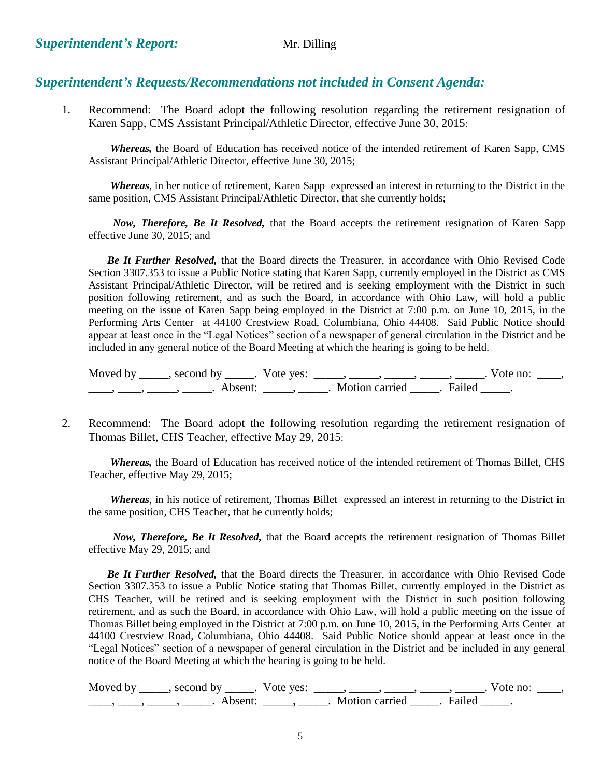## *Superintendent's Requests/Recommendations not included in Consent Agenda:*

1. Recommend: The Board adopt the following resolution regarding the retirement resignation of Karen Sapp, CMS Assistant Principal/Athletic Director, effective June 30, 2015:

*Whereas,* the Board of Education has received notice of the intended retirement of Karen Sapp, CMS Assistant Principal/Athletic Director, effective June 30, 2015;

*Whereas*, in her notice of retirement, Karen Sapp expressed an interest in returning to the District in the same position, CMS Assistant Principal/Athletic Director, that she currently holds;

*Now, Therefore, Be It Resolved,* that the Board accepts the retirement resignation of Karen Sapp effective June 30, 2015; and

 *Be It Further Resolved,* that the Board directs the Treasurer, in accordance with Ohio Revised Code Section 3307.353 to issue a Public Notice stating that Karen Sapp, currently employed in the District as CMS Assistant Principal/Athletic Director, will be retired and is seeking employment with the District in such position following retirement, and as such the Board, in accordance with Ohio Law, will hold a public meeting on the issue of Karen Sapp being employed in the District at 7:00 p.m. on June 10, 2015, in the Performing Arts Center at 44100 Crestview Road, Columbiana, Ohio 44408. Said Public Notice should appear at least once in the "Legal Notices" section of a newspaper of general circulation in the District and be included in any general notice of the Board Meeting at which the hearing is going to be held.

| Moved by | second by           | Vote yes: |                |        | vote no: |  |
|----------|---------------------|-----------|----------------|--------|----------|--|
|          | Absent <sup>.</sup> |           | Motion carried | Failed |          |  |

2. Recommend: The Board adopt the following resolution regarding the retirement resignation of Thomas Billet, CHS Teacher, effective May 29, 2015:

*Whereas,* the Board of Education has received notice of the intended retirement of Thomas Billet, CHS Teacher, effective May 29, 2015;

*Whereas*, in his notice of retirement, Thomas Billet expressed an interest in returning to the District in the same position, CHS Teacher, that he currently holds;

*Now, Therefore, Be It Resolved,* that the Board accepts the retirement resignation of Thomas Billet effective May 29, 2015; and

 *Be It Further Resolved,* that the Board directs the Treasurer, in accordance with Ohio Revised Code Section 3307.353 to issue a Public Notice stating that Thomas Billet, currently employed in the District as CHS Teacher, will be retired and is seeking employment with the District in such position following retirement, and as such the Board, in accordance with Ohio Law, will hold a public meeting on the issue of Thomas Billet being employed in the District at 7:00 p.m. on June 10, 2015, in the Performing Arts Center at 44100 Crestview Road, Columbiana, Ohio 44408. Said Public Notice should appear at least once in the "Legal Notices" section of a newspaper of general circulation in the District and be included in any general notice of the Board Meeting at which the hearing is going to be held.

Moved by \_\_\_\_\_, second by \_\_\_\_\_. Vote yes:  $\_\_\_\_\_\_\_\_\_\_\_\_\_\_\_$  \_\_\_\_\_, \_\_\_\_\_, \_\_\_\_\_. Vote no:  $\_\_\_\_\_\$ \_\_\_\_\_, \_\_\_\_\_\_, \_\_\_\_\_\_\_. Absent: \_\_\_\_\_\_, \_\_\_\_\_\_. Motion carried \_\_\_\_\_\_. Failed \_\_\_\_\_.